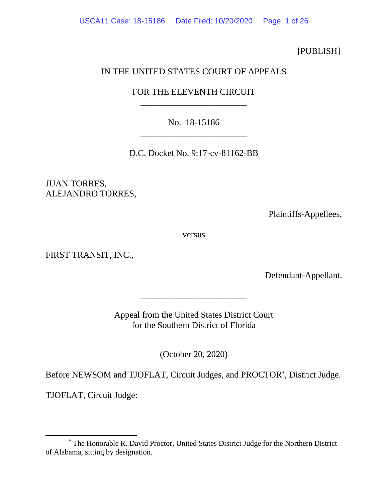[PUBLISH]

## IN THE UNITED STATES COURT OF APPEALS

# FOR THE ELEVENTH CIRCUIT \_\_\_\_\_\_\_\_\_\_\_\_\_\_\_\_\_\_\_\_\_\_\_\_

No. 18-15186 \_\_\_\_\_\_\_\_\_\_\_\_\_\_\_\_\_\_\_\_\_\_\_\_

D.C. Docket No. 9:17-cv-81162-BB

JUAN TORRES, ALEJANDRO TORRES,

Plaintiffs-Appellees,

versus

FIRST TRANSIT, INC.,

Defendant-Appellant.

Appeal from the United States District Court for the Southern District of Florida

\_\_\_\_\_\_\_\_\_\_\_\_\_\_\_\_\_\_\_\_\_\_\_\_

\_\_\_\_\_\_\_\_\_\_\_\_\_\_\_\_\_\_\_\_\_\_\_\_

(October 20, 2020)

Before NEWSOM and TJOFLAT, Circuit Judges, and PROCTO[R\\*](#page-0-0) , District Judge.

TJOFLAT, Circuit Judge:

<span id="page-0-0"></span><sup>\*</sup> The Honorable R. David Proctor, United States District Judge for the Northern District of Alabama, sitting by designation.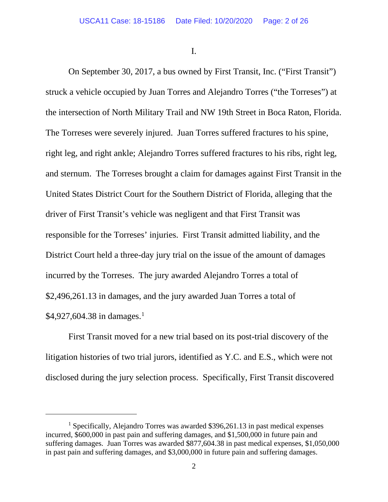I.

On September 30, 2017, a bus owned by First Transit, Inc. ("First Transit") struck a vehicle occupied by Juan Torres and Alejandro Torres ("the Torreses") at the intersection of North Military Trail and NW 19th Street in Boca Raton, Florida. The Torreses were severely injured. Juan Torres suffered fractures to his spine, right leg, and right ankle; Alejandro Torres suffered fractures to his ribs, right leg, and sternum. The Torreses brought a claim for damages against First Transit in the United States District Court for the Southern District of Florida, alleging that the driver of First Transit's vehicle was negligent and that First Transit was responsible for the Torreses' injuries. First Transit admitted liability, and the District Court held a three-day jury trial on the issue of the amount of damages incurred by the Torreses. The jury awarded Alejandro Torres a total of \$2,496,261.13 in damages, and the jury awarded Juan Torres a total of \$4,927,604.38 in damages.<sup>[1](#page-1-0)</sup>

First Transit moved for a new trial based on its post-trial discovery of the litigation histories of two trial jurors, identified as Y.C. and E.S., which were not disclosed during the jury selection process. Specifically, First Transit discovered

<span id="page-1-0"></span><sup>&</sup>lt;sup>1</sup> Specifically, Alejandro Torres was awarded \$396,261.13 in past medical expenses incurred, \$600,000 in past pain and suffering damages, and \$1,500,000 in future pain and suffering damages. Juan Torres was awarded \$877,604.38 in past medical expenses, \$1,050,000 in past pain and suffering damages, and \$3,000,000 in future pain and suffering damages.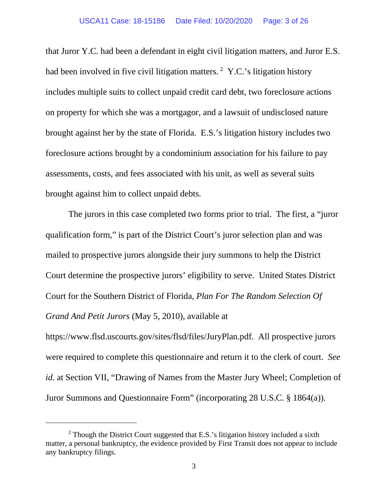that Juror Y.C. had been a defendant in eight civil litigation matters, and Juror E.S. had been involved in five civil litigation matters.  $2 \text{ Y.C.'s}$  $2 \text{ Y.C.'s}$  litigation history includes multiple suits to collect unpaid credit card debt, two foreclosure actions on property for which she was a mortgagor, and a lawsuit of undisclosed nature brought against her by the state of Florida. E.S.'s litigation history includes two foreclosure actions brought by a condominium association for his failure to pay assessments, costs, and fees associated with his unit, as well as several suits brought against him to collect unpaid debts.

The jurors in this case completed two forms prior to trial. The first, a "juror qualification form," is part of the District Court's juror selection plan and was mailed to prospective jurors alongside their jury summons to help the District Court determine the prospective jurors' eligibility to serve. United States District Court for the Southern District of Florida, *Plan For The Random Selection Of Grand And Petit Jurors* (May 5, 2010), available at

https://www.flsd.uscourts.gov/sites/flsd/files/JuryPlan.pdf. All prospective jurors were required to complete this questionnaire and return it to the clerk of court. *See id.* at Section VII, "Drawing of Names from the Master Jury Wheel; Completion of Juror Summons and Questionnaire Form" (incorporating 28 U.S.C. § 1864(a)).

<span id="page-2-0"></span> $2$  Though the District Court suggested that E.S.'s litigation history included a sixth matter, a personal bankruptcy, the evidence provided by First Transit does not appear to include any bankruptcy filings.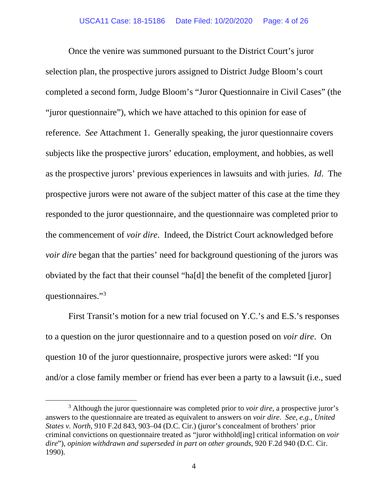Once the venire was summoned pursuant to the District Court's juror selection plan, the prospective jurors assigned to District Judge Bloom's court completed a second form, Judge Bloom's "Juror Questionnaire in Civil Cases" (the "juror questionnaire"), which we have attached to this opinion for ease of reference. *See* Attachment 1. Generally speaking, the juror questionnaire covers subjects like the prospective jurors' education, employment, and hobbies, as well as the prospective jurors' previous experiences in lawsuits and with juries. *Id*. The prospective jurors were not aware of the subject matter of this case at the time they responded to the juror questionnaire, and the questionnaire was completed prior to the commencement of *voir dire*. Indeed, the District Court acknowledged before *voir dire* began that the parties' need for background questioning of the jurors was obviated by the fact that their counsel "ha[d] the benefit of the completed [juror] questionnaires."[3](#page-3-0)

First Transit's motion for a new trial focused on Y.C.'s and E.S.'s responses to a question on the juror questionnaire and to a question posed on *voir dire*. On question 10 of the juror questionnaire, prospective jurors were asked: "If you and/or a close family member or friend has ever been a party to a lawsuit (i.e., sued

<span id="page-3-0"></span><sup>3</sup> Although the juror questionnaire was completed prior to *voir dire*, a prospective juror's answers to the questionnaire are treated as equivalent to answers on *voir dire*. *See, e.g.*, *United States v. North*, 910 F.2d 843, 903–04 (D.C. Cir.) (juror's concealment of brothers' prior criminal convictions on questionnaire treated as "juror withhold[ing] critical information on *voir dire*"), *opinion withdrawn and superseded in part on other grounds*, 920 F.2d 940 (D.C. Cir. 1990).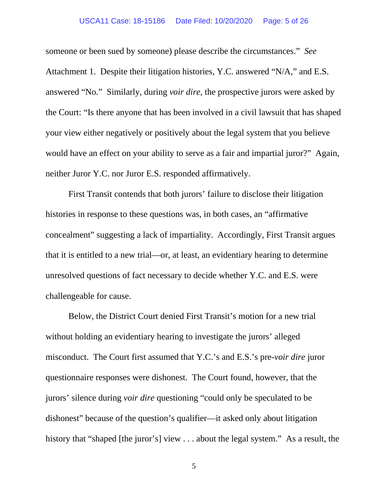#### USCA11 Case: 18-15186 Date Filed: 10/20/2020 Page: 5 of 26

someone or been sued by someone) please describe the circumstances." *See*  Attachment 1. Despite their litigation histories, Y.C. answered "N/A," and E.S. answered "No." Similarly, during *voir dire*, the prospective jurors were asked by the Court: "Is there anyone that has been involved in a civil lawsuit that has shaped your view either negatively or positively about the legal system that you believe would have an effect on your ability to serve as a fair and impartial juror?" Again, neither Juror Y.C. nor Juror E.S. responded affirmatively.

First Transit contends that both jurors' failure to disclose their litigation histories in response to these questions was, in both cases, an "affirmative concealment" suggesting a lack of impartiality. Accordingly, First Transit argues that it is entitled to a new trial—or, at least, an evidentiary hearing to determine unresolved questions of fact necessary to decide whether Y.C. and E.S. were challengeable for cause.

Below, the District Court denied First Transit's motion for a new trial without holding an evidentiary hearing to investigate the jurors' alleged misconduct. The Court first assumed that Y.C.'s and E.S.'s pre-*voir dire* juror questionnaire responses were dishonest. The Court found, however, that the jurors' silence during *voir dire* questioning "could only be speculated to be dishonest" because of the question's qualifier—it asked only about litigation history that "shaped [the juror's] view . . . about the legal system." As a result, the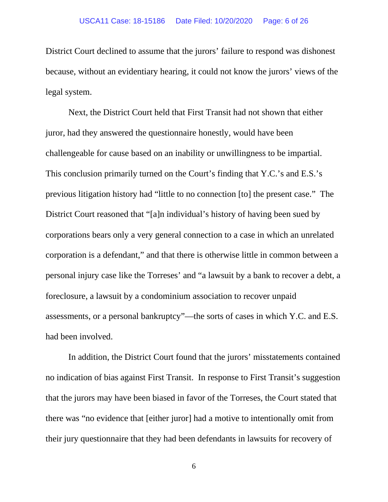District Court declined to assume that the jurors' failure to respond was dishonest because, without an evidentiary hearing, it could not know the jurors' views of the legal system.

Next, the District Court held that First Transit had not shown that either juror, had they answered the questionnaire honestly, would have been challengeable for cause based on an inability or unwillingness to be impartial. This conclusion primarily turned on the Court's finding that Y.C.'s and E.S.'s previous litigation history had "little to no connection [to] the present case." The District Court reasoned that "[a]n individual's history of having been sued by corporations bears only a very general connection to a case in which an unrelated corporation is a defendant," and that there is otherwise little in common between a personal injury case like the Torreses' and "a lawsuit by a bank to recover a debt, a foreclosure, a lawsuit by a condominium association to recover unpaid assessments, or a personal bankruptcy"—the sorts of cases in which Y.C. and E.S. had been involved.

In addition, the District Court found that the jurors' misstatements contained no indication of bias against First Transit. In response to First Transit's suggestion that the jurors may have been biased in favor of the Torreses, the Court stated that there was "no evidence that [either juror] had a motive to intentionally omit from their jury questionnaire that they had been defendants in lawsuits for recovery of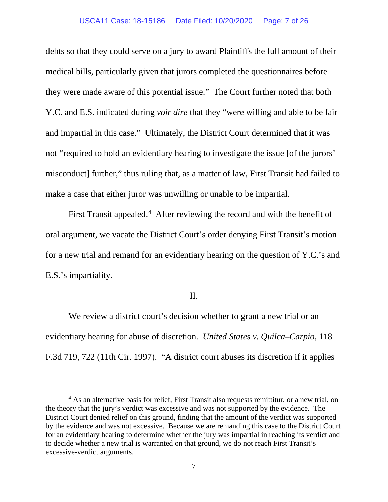#### USCA11 Case: 18-15186 Date Filed: 10/20/2020 Page: 7 of 26

debts so that they could serve on a jury to award Plaintiffs the full amount of their medical bills, particularly given that jurors completed the questionnaires before they were made aware of this potential issue." The Court further noted that both Y.C. and E.S. indicated during *voir dire* that they "were willing and able to be fair and impartial in this case." Ultimately, the District Court determined that it was not "required to hold an evidentiary hearing to investigate the issue [of the jurors' misconduct] further," thus ruling that, as a matter of law, First Transit had failed to make a case that either juror was unwilling or unable to be impartial.

First Transit appealed.<sup>[4](#page-6-0)</sup> After reviewing the record and with the benefit of oral argument, we vacate the District Court's order denying First Transit's motion for a new trial and remand for an evidentiary hearing on the question of Y.C.'s and E.S.'s impartiality.

### II.

We review a district court's decision whether to grant a new trial or an evidentiary hearing for abuse of discretion. *United States v. Quilca–Carpio*, 118 F.3d 719, 722 (11th Cir. 1997). "A district court abuses its discretion if it applies

<span id="page-6-0"></span><sup>&</sup>lt;sup>4</sup> As an alternative basis for relief, First Transit also requests remittitur, or a new trial, on the theory that the jury's verdict was excessive and was not supported by the evidence. The District Court denied relief on this ground, finding that the amount of the verdict was supported by the evidence and was not excessive. Because we are remanding this case to the District Court for an evidentiary hearing to determine whether the jury was impartial in reaching its verdict and to decide whether a new trial is warranted on that ground, we do not reach First Transit's excessive-verdict arguments.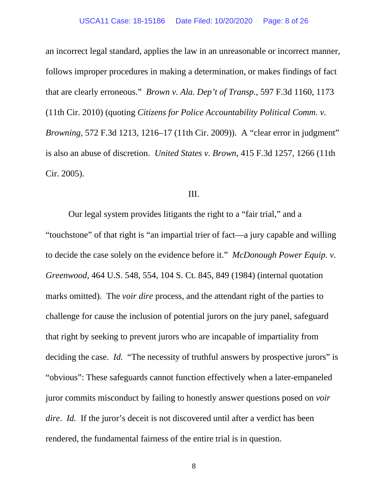an incorrect legal standard, applies the law in an unreasonable or incorrect manner, follows improper procedures in making a determination, or makes findings of fact that are clearly erroneous." *Brown v. Ala. Dep't of Transp.*, 597 F.3d 1160, 1173 (11th Cir. 2010) (quoting *Citizens for Police Accountability Political Comm. v. Browning*, 572 F.3d 1213, 1216–17 (11th Cir. 2009)). A "clear error in judgment" is also an abuse of discretion. *United States v. Brown*, 415 F.3d 1257, 1266 (11th Cir. 2005).

#### III.

Our legal system provides litigants the right to a "fair trial," and a "touchstone" of that right is "an impartial trier of fact—a jury capable and willing to decide the case solely on the evidence before it." *McDonough Power Equip. v. Greenwood*, 464 U.S. 548, 554, 104 S. Ct. 845, 849 (1984) (internal quotation marks omitted). The *voir dire* process, and the attendant right of the parties to challenge for cause the inclusion of potential jurors on the jury panel, safeguard that right by seeking to prevent jurors who are incapable of impartiality from deciding the case. *Id.* "The necessity of truthful answers by prospective jurors" is "obvious": These safeguards cannot function effectively when a later-empaneled juror commits misconduct by failing to honestly answer questions posed on *voir dire*. *Id.* If the juror's deceit is not discovered until after a verdict has been rendered, the fundamental fairness of the entire trial is in question.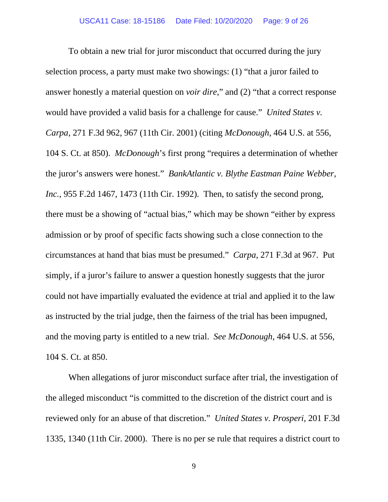To obtain a new trial for juror misconduct that occurred during the jury selection process, a party must make two showings: (1) "that a juror failed to answer honestly a material question on *voir dire*," and (2) "that a correct response would have provided a valid basis for a challenge for cause." *United States v. Carpa*, 271 F.3d 962, 967 (11th Cir. 2001) (citing *McDonough*, 464 U.S. at 556, 104 S. Ct. at 850). *McDonough*'s first prong "requires a determination of whether the juror's answers were honest." *BankAtlantic v. Blythe Eastman Paine Webber, Inc.*, 955 F.2d 1467, 1473 (11th Cir. 1992). Then, to satisfy the second prong, there must be a showing of "actual bias," which may be shown "either by express admission or by proof of specific facts showing such a close connection to the circumstances at hand that bias must be presumed." *Carpa*, 271 F.3d at 967. Put simply, if a juror's failure to answer a question honestly suggests that the juror could not have impartially evaluated the evidence at trial and applied it to the law as instructed by the trial judge, then the fairness of the trial has been impugned, and the moving party is entitled to a new trial. *See McDonough*, 464 U.S. at 556, 104 S. Ct. at 850.

When allegations of juror misconduct surface after trial, the investigation of the alleged misconduct "is committed to the discretion of the district court and is reviewed only for an abuse of that discretion." *United States v. Prosperi*, 201 F.3d 1335, 1340 (11th Cir. 2000). There is no per se rule that requires a district court to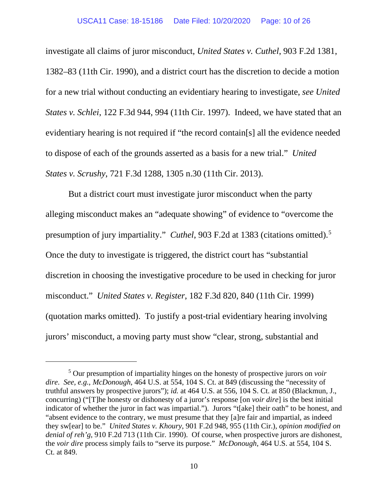#### USCA11 Case: 18-15186 Date Filed: 10/20/2020 Page: 10 of 26

investigate all claims of juror misconduct, *United States v. Cuthel*, 903 F.2d 1381, 1382–83 (11th Cir. 1990), and a district court has the discretion to decide a motion for a new trial without conducting an evidentiary hearing to investigate, *see United States v. Schlei*, 122 F.3d 944, 994 (11th Cir. 1997). Indeed, we have stated that an evidentiary hearing is not required if "the record contain[s] all the evidence needed to dispose of each of the grounds asserted as a basis for a new trial." *United States v. Scrushy*, 721 F.3d 1288, 1305 n.30 (11th Cir. 2013).

But a district court must investigate juror misconduct when the party alleging misconduct makes an "adequate showing" of evidence to "overcome the presumption of jury impartiality." *Cuthel*, 903 F.2d at 1383 (citations omitted).<sup>[5](#page-9-0)</sup> Once the duty to investigate is triggered, the district court has "substantial discretion in choosing the investigative procedure to be used in checking for juror misconduct." *United States v. Register*, 182 F.3d 820, 840 (11th Cir. 1999) (quotation marks omitted). To justify a post-trial evidentiary hearing involving jurors' misconduct, a moving party must show "clear, strong, substantial and

<span id="page-9-0"></span><sup>5</sup> Our presumption of impartiality hinges on the honesty of prospective jurors on *voir dire*. *See, e.g.*, *McDonough*, 464 U.S. at 554, 104 S. Ct. at 849 (discussing the "necessity of truthful answers by prospective jurors"); *id.* at 464 U.S. at 556, 104 S. Ct. at 850 (Blackmun, J., concurring) ("[T]he honesty or dishonesty of a juror's response [on *voir dire*] is the best initial indicator of whether the juror in fact was impartial."). Jurors "t[ake] their oath" to be honest, and "absent evidence to the contrary, we must presume that they [a]re fair and impartial, as indeed they sw[ear] to be." *United States v. Khoury*, 901 F.2d 948, 955 (11th Cir.), *opinion modified on denial of reh'g*, 910 F.2d 713 (11th Cir. 1990). Of course, when prospective jurors are dishonest, the *voir dire* process simply fails to "serve its purpose." *McDonough*, 464 U.S. at 554, 104 S. Ct. at 849.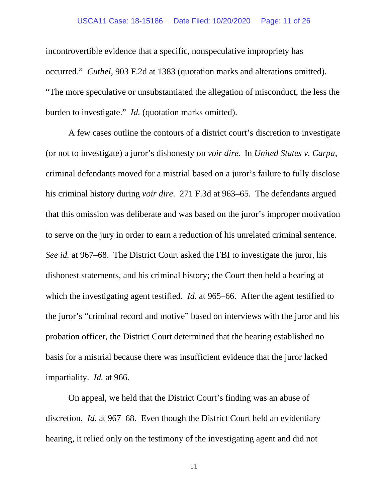#### USCA11 Case: 18-15186 Date Filed: 10/20/2020 Page: 11 of 26

incontrovertible evidence that a specific, nonspeculative impropriety has occurred." *Cuthel*, 903 F.2d at 1383 (quotation marks and alterations omitted). "The more speculative or unsubstantiated the allegation of misconduct, the less the burden to investigate." *Id.* (quotation marks omitted).

A few cases outline the contours of a district court's discretion to investigate (or not to investigate) a juror's dishonesty on *voir dire*. In *United States v. Carpa*, criminal defendants moved for a mistrial based on a juror's failure to fully disclose his criminal history during *voir dire*. 271 F.3d at 963–65. The defendants argued that this omission was deliberate and was based on the juror's improper motivation to serve on the jury in order to earn a reduction of his unrelated criminal sentence. *See id.* at 967–68. The District Court asked the FBI to investigate the juror, his dishonest statements, and his criminal history; the Court then held a hearing at which the investigating agent testified. *Id.* at 965–66. After the agent testified to the juror's "criminal record and motive" based on interviews with the juror and his probation officer, the District Court determined that the hearing established no basis for a mistrial because there was insufficient evidence that the juror lacked impartiality. *Id.* at 966.

On appeal, we held that the District Court's finding was an abuse of discretion. *Id.* at 967–68. Even though the District Court held an evidentiary hearing, it relied only on the testimony of the investigating agent and did not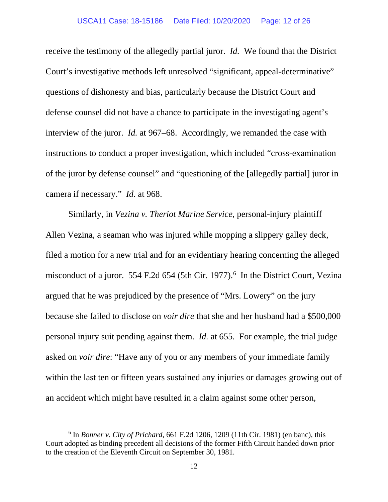receive the testimony of the allegedly partial juror. *Id.* We found that the District Court's investigative methods left unresolved "significant, appeal-determinative" questions of dishonesty and bias, particularly because the District Court and defense counsel did not have a chance to participate in the investigating agent's interview of the juror. *Id.* at 967–68. Accordingly, we remanded the case with instructions to conduct a proper investigation, which included "cross-examination of the juror by defense counsel" and "questioning of the [allegedly partial] juror in camera if necessary." *Id.* at 968.

Similarly, in *Vezina v. Theriot Marine Service*, personal-injury plaintiff Allen Vezina, a seaman who was injured while mopping a slippery galley deck, filed a motion for a new trial and for an evidentiary hearing concerning the alleged misconduct of a juror. 554 F.2d [6](#page-11-0)54 (5th Cir. 1977).<sup>6</sup> In the District Court, Vezina argued that he was prejudiced by the presence of "Mrs. Lowery" on the jury because she failed to disclose on *voir dire* that she and her husband had a \$500,000 personal injury suit pending against them. *Id.* at 655. For example, the trial judge asked on *voir dire*: "Have any of you or any members of your immediate family within the last ten or fifteen years sustained any injuries or damages growing out of an accident which might have resulted in a claim against some other person,

<span id="page-11-0"></span><sup>6</sup> In *Bonner v. City of Prichard*, 661 F.2d 1206, 1209 (11th Cir. 1981) (en banc), this Court adopted as binding precedent all decisions of the former Fifth Circuit handed down prior to the creation of the Eleventh Circuit on September 30, 1981.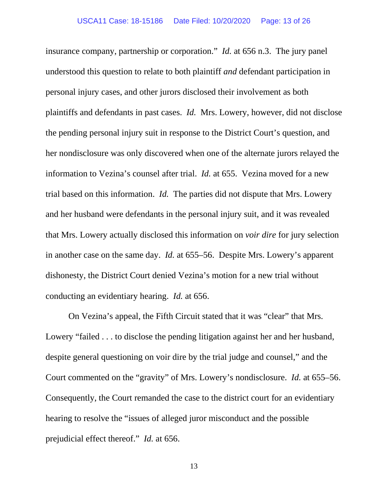insurance company, partnership or corporation." *Id.* at 656 n.3. The jury panel understood this question to relate to both plaintiff *and* defendant participation in personal injury cases, and other jurors disclosed their involvement as both plaintiffs and defendants in past cases. *Id.* Mrs. Lowery, however, did not disclose the pending personal injury suit in response to the District Court's question, and her nondisclosure was only discovered when one of the alternate jurors relayed the information to Vezina's counsel after trial. *Id.* at 655. Vezina moved for a new trial based on this information. *Id.* The parties did not dispute that Mrs. Lowery and her husband were defendants in the personal injury suit, and it was revealed that Mrs. Lowery actually disclosed this information on *voir dire* for jury selection in another case on the same day. *Id.* at 655–56. Despite Mrs. Lowery's apparent dishonesty, the District Court denied Vezina's motion for a new trial without conducting an evidentiary hearing. *Id.* at 656.

On Vezina's appeal, the Fifth Circuit stated that it was "clear" that Mrs. Lowery "failed . . . to disclose the pending litigation against her and her husband, despite general questioning on voir dire by the trial judge and counsel," and the Court commented on the "gravity" of Mrs. Lowery's nondisclosure. *Id.* at 655–56. Consequently, the Court remanded the case to the district court for an evidentiary hearing to resolve the "issues of alleged juror misconduct and the possible prejudicial effect thereof." *Id.* at 656.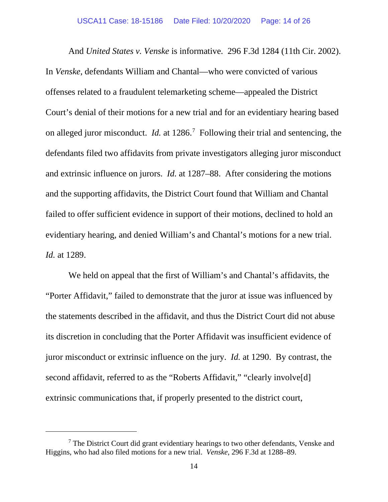And *United States v. Venske* is informative. 296 F.3d 1284 (11th Cir. 2002). In *Venske*, defendants William and Chantal—who were convicted of various offenses related to a fraudulent telemarketing scheme—appealed the District Court's denial of their motions for a new trial and for an evidentiary hearing based on alleged juror misconduct. *Id.* at 1286[.7](#page-13-0) Following their trial and sentencing, the defendants filed two affidavits from private investigators alleging juror misconduct and extrinsic influence on jurors. *Id.* at 1287–88. After considering the motions and the supporting affidavits, the District Court found that William and Chantal failed to offer sufficient evidence in support of their motions, declined to hold an evidentiary hearing, and denied William's and Chantal's motions for a new trial. *Id.* at 1289.

We held on appeal that the first of William's and Chantal's affidavits, the "Porter Affidavit," failed to demonstrate that the juror at issue was influenced by the statements described in the affidavit, and thus the District Court did not abuse its discretion in concluding that the Porter Affidavit was insufficient evidence of juror misconduct or extrinsic influence on the jury. *Id.* at 1290. By contrast, the second affidavit, referred to as the "Roberts Affidavit," "clearly involve<sup>[d]</sup> extrinsic communications that, if properly presented to the district court,

<span id="page-13-0"></span><sup>7</sup> The District Court did grant evidentiary hearings to two other defendants, Venske and Higgins, who had also filed motions for a new trial. *Venske*, 296 F.3d at 1288–89.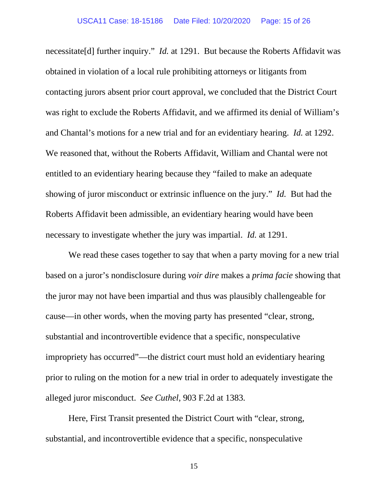necessitate[d] further inquiry." *Id.* at 1291. But because the Roberts Affidavit was obtained in violation of a local rule prohibiting attorneys or litigants from contacting jurors absent prior court approval, we concluded that the District Court was right to exclude the Roberts Affidavit, and we affirmed its denial of William's and Chantal's motions for a new trial and for an evidentiary hearing. *Id.* at 1292. We reasoned that, without the Roberts Affidavit, William and Chantal were not entitled to an evidentiary hearing because they "failed to make an adequate showing of juror misconduct or extrinsic influence on the jury." *Id.* But had the Roberts Affidavit been admissible, an evidentiary hearing would have been necessary to investigate whether the jury was impartial. *Id.* at 1291.

We read these cases together to say that when a party moving for a new trial based on a juror's nondisclosure during *voir dire* makes a *prima facie* showing that the juror may not have been impartial and thus was plausibly challengeable for cause—in other words, when the moving party has presented "clear, strong, substantial and incontrovertible evidence that a specific, nonspeculative impropriety has occurred"—the district court must hold an evidentiary hearing prior to ruling on the motion for a new trial in order to adequately investigate the alleged juror misconduct. *See Cuthel*, 903 F.2d at 1383*.*

Here, First Transit presented the District Court with "clear, strong, substantial, and incontrovertible evidence that a specific, nonspeculative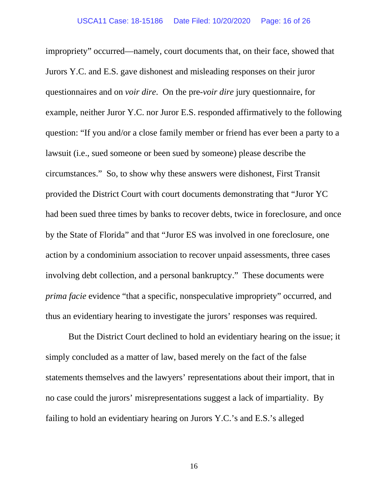impropriety" occurred—namely, court documents that, on their face, showed that Jurors Y.C. and E.S. gave dishonest and misleading responses on their juror questionnaires and on *voir dire*. On the pre-*voir dire* jury questionnaire, for example, neither Juror Y.C. nor Juror E.S. responded affirmatively to the following question: "If you and/or a close family member or friend has ever been a party to a lawsuit (i.e., sued someone or been sued by someone) please describe the circumstances." So, to show why these answers were dishonest, First Transit provided the District Court with court documents demonstrating that "Juror YC had been sued three times by banks to recover debts, twice in foreclosure, and once by the State of Florida" and that "Juror ES was involved in one foreclosure, one action by a condominium association to recover unpaid assessments, three cases involving debt collection, and a personal bankruptcy." These documents were *prima facie* evidence "that a specific, nonspeculative impropriety" occurred, and thus an evidentiary hearing to investigate the jurors' responses was required.

But the District Court declined to hold an evidentiary hearing on the issue; it simply concluded as a matter of law, based merely on the fact of the false statements themselves and the lawyers' representations about their import, that in no case could the jurors' misrepresentations suggest a lack of impartiality. By failing to hold an evidentiary hearing on Jurors Y.C.'s and E.S.'s alleged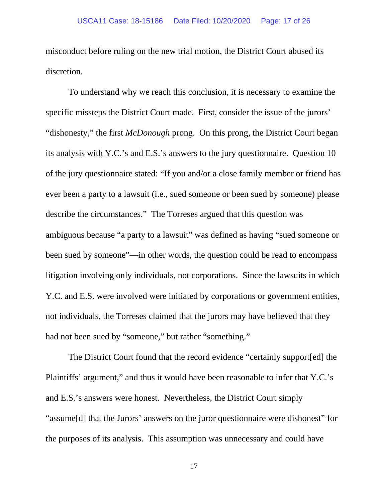misconduct before ruling on the new trial motion, the District Court abused its discretion.

To understand why we reach this conclusion, it is necessary to examine the specific missteps the District Court made. First, consider the issue of the jurors' "dishonesty," the first *McDonough* prong. On this prong, the District Court began its analysis with Y.C.'s and E.S.'s answers to the jury questionnaire. Question 10 of the jury questionnaire stated: "If you and/or a close family member or friend has ever been a party to a lawsuit (i.e., sued someone or been sued by someone) please describe the circumstances." The Torreses argued that this question was ambiguous because "a party to a lawsuit" was defined as having "sued someone or been sued by someone"—in other words, the question could be read to encompass litigation involving only individuals, not corporations. Since the lawsuits in which Y.C. and E.S. were involved were initiated by corporations or government entities, not individuals, the Torreses claimed that the jurors may have believed that they had not been sued by "someone," but rather "something."

The District Court found that the record evidence "certainly support[ed] the Plaintiffs' argument," and thus it would have been reasonable to infer that Y.C.'s and E.S.'s answers were honest. Nevertheless, the District Court simply "assume[d] that the Jurors' answers on the juror questionnaire were dishonest" for the purposes of its analysis. This assumption was unnecessary and could have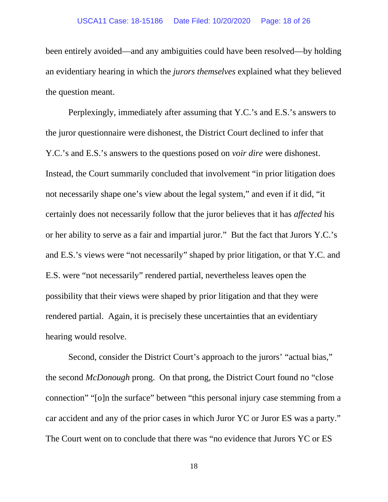been entirely avoided—and any ambiguities could have been resolved—by holding an evidentiary hearing in which the *jurors themselves* explained what they believed the question meant.

Perplexingly, immediately after assuming that Y.C.'s and E.S.'s answers to the juror questionnaire were dishonest, the District Court declined to infer that Y.C.'s and E.S.'s answers to the questions posed on *voir dire* were dishonest. Instead, the Court summarily concluded that involvement "in prior litigation does not necessarily shape one's view about the legal system," and even if it did, "it certainly does not necessarily follow that the juror believes that it has *affected* his or her ability to serve as a fair and impartial juror." But the fact that Jurors Y.C.'s and E.S.'s views were "not necessarily" shaped by prior litigation, or that Y.C. and E.S. were "not necessarily" rendered partial, nevertheless leaves open the possibility that their views were shaped by prior litigation and that they were rendered partial. Again, it is precisely these uncertainties that an evidentiary hearing would resolve.

Second, consider the District Court's approach to the jurors' "actual bias," the second *McDonough* prong. On that prong, the District Court found no "close connection" "[o]n the surface" between "this personal injury case stemming from a car accident and any of the prior cases in which Juror YC or Juror ES was a party." The Court went on to conclude that there was "no evidence that Jurors YC or ES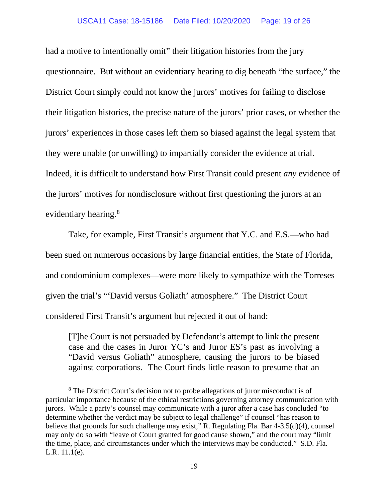#### USCA11 Case: 18-15186 Date Filed: 10/20/2020 Page: 19 of 26

had a motive to intentionally omit" their litigation histories from the jury questionnaire. But without an evidentiary hearing to dig beneath "the surface," the District Court simply could not know the jurors' motives for failing to disclose their litigation histories, the precise nature of the jurors' prior cases, or whether the jurors' experiences in those cases left them so biased against the legal system that they were unable (or unwilling) to impartially consider the evidence at trial. Indeed, it is difficult to understand how First Transit could present *any* evidence of the jurors' motives for nondisclosure without first questioning the jurors at an evidentiary hearing.<sup>8</sup>

Take, for example, First Transit's argument that Y.C. and E.S.—who had been sued on numerous occasions by large financial entities, the State of Florida, and condominium complexes—were more likely to sympathize with the Torreses given the trial's "'David versus Goliath' atmosphere." The District Court considered First Transit's argument but rejected it out of hand:

[T]he Court is not persuaded by Defendant's attempt to link the present case and the cases in Juror YC's and Juror ES's past as involving a "David versus Goliath" atmosphere, causing the jurors to be biased against corporations. The Court finds little reason to presume that an

<span id="page-18-0"></span><sup>8</sup> The District Court's decision not to probe allegations of juror misconduct is of particular importance because of the ethical restrictions governing attorney communication with jurors. While a party's counsel may communicate with a juror after a case has concluded "to determine whether the verdict may be subject to legal challenge" if counsel "has reason to believe that grounds for such challenge may exist," R. Regulating Fla. Bar 4-3.5(d)(4), counsel may only do so with "leave of Court granted for good cause shown," and the court may "limit the time, place, and circumstances under which the interviews may be conducted." S.D. Fla. L.R. 11.1(e).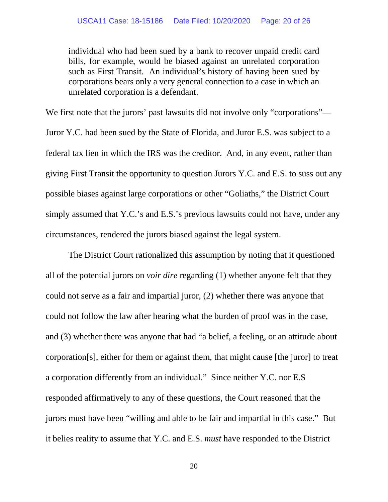individual who had been sued by a bank to recover unpaid credit card bills, for example, would be biased against an unrelated corporation such as First Transit. An individual's history of having been sued by corporations bears only a very general connection to a case in which an unrelated corporation is a defendant.

We first note that the jurors' past lawsuits did not involve only "corporations"— Juror Y.C. had been sued by the State of Florida, and Juror E.S. was subject to a federal tax lien in which the IRS was the creditor. And, in any event, rather than giving First Transit the opportunity to question Jurors Y.C. and E.S. to suss out any possible biases against large corporations or other "Goliaths," the District Court simply assumed that Y.C.'s and E.S.'s previous lawsuits could not have, under any circumstances, rendered the jurors biased against the legal system.

The District Court rationalized this assumption by noting that it questioned all of the potential jurors on *voir dire* regarding (1) whether anyone felt that they could not serve as a fair and impartial juror, (2) whether there was anyone that could not follow the law after hearing what the burden of proof was in the case, and (3) whether there was anyone that had "a belief, a feeling, or an attitude about corporation[s], either for them or against them, that might cause [the juror] to treat a corporation differently from an individual." Since neither Y.C. nor E.S responded affirmatively to any of these questions, the Court reasoned that the jurors must have been "willing and able to be fair and impartial in this case." But it belies reality to assume that Y.C. and E.S. *must* have responded to the District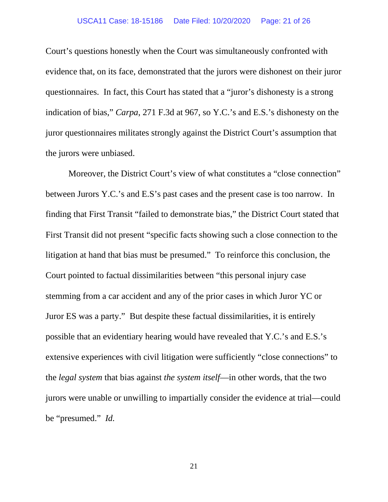Court's questions honestly when the Court was simultaneously confronted with evidence that, on its face, demonstrated that the jurors were dishonest on their juror questionnaires. In fact, this Court has stated that a "juror's dishonesty is a strong indication of bias," *Carpa*, 271 F.3d at 967, so Y.C.'s and E.S.'s dishonesty on the juror questionnaires militates strongly against the District Court's assumption that the jurors were unbiased.

Moreover, the District Court's view of what constitutes a "close connection" between Jurors Y.C.'s and E.S's past cases and the present case is too narrow. In finding that First Transit "failed to demonstrate bias," the District Court stated that First Transit did not present "specific facts showing such a close connection to the litigation at hand that bias must be presumed." To reinforce this conclusion, the Court pointed to factual dissimilarities between "this personal injury case stemming from a car accident and any of the prior cases in which Juror YC or Juror ES was a party." But despite these factual dissimilarities, it is entirely possible that an evidentiary hearing would have revealed that Y.C.'s and E.S.'s extensive experiences with civil litigation were sufficiently "close connections" to the *legal system* that bias against *the system itself*—in other words, that the two jurors were unable or unwilling to impartially consider the evidence at trial—could be "presumed." *Id.*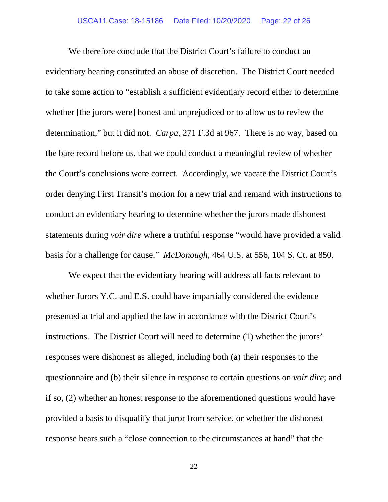We therefore conclude that the District Court's failure to conduct an evidentiary hearing constituted an abuse of discretion. The District Court needed to take some action to "establish a sufficient evidentiary record either to determine whether [the jurors were] honest and unprejudiced or to allow us to review the determination," but it did not. *Carpa*, 271 F.3d at 967. There is no way, based on the bare record before us, that we could conduct a meaningful review of whether the Court's conclusions were correct. Accordingly, we vacate the District Court's order denying First Transit's motion for a new trial and remand with instructions to conduct an evidentiary hearing to determine whether the jurors made dishonest statements during *voir dire* where a truthful response "would have provided a valid basis for a challenge for cause." *McDonough*, 464 U.S. at 556, 104 S. Ct. at 850.

We expect that the evidentiary hearing will address all facts relevant to whether Jurors Y.C. and E.S. could have impartially considered the evidence presented at trial and applied the law in accordance with the District Court's instructions. The District Court will need to determine (1) whether the jurors' responses were dishonest as alleged, including both (a) their responses to the questionnaire and (b) their silence in response to certain questions on *voir dire*; and if so, (2) whether an honest response to the aforementioned questions would have provided a basis to disqualify that juror from service, or whether the dishonest response bears such a "close connection to the circumstances at hand" that the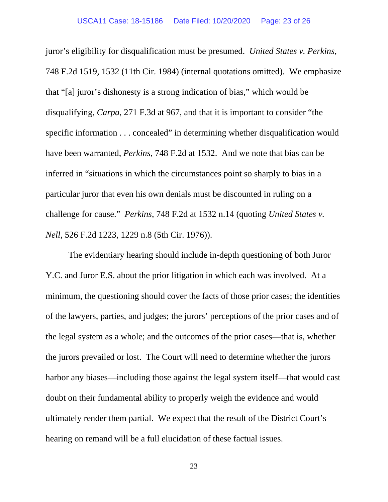juror's eligibility for disqualification must be presumed. *United States v. Perkins*, 748 F.2d 1519, 1532 (11th Cir. 1984) (internal quotations omitted). We emphasize that "[a] juror's dishonesty is a strong indication of bias," which would be disqualifying, *Carpa*, 271 F.3d at 967, and that it is important to consider "the specific information . . . concealed" in determining whether disqualification would have been warranted, *Perkins*, 748 F.2d at 1532. And we note that bias can be inferred in "situations in which the circumstances point so sharply to bias in a particular juror that even his own denials must be discounted in ruling on a challenge for cause." *Perkins*, 748 F.2d at 1532 n.14 (quoting *United States v. Nell*, 526 F.2d 1223, 1229 n.8 (5th Cir. 1976)).

The evidentiary hearing should include in-depth questioning of both Juror Y.C. and Juror E.S. about the prior litigation in which each was involved. At a minimum, the questioning should cover the facts of those prior cases; the identities of the lawyers, parties, and judges; the jurors' perceptions of the prior cases and of the legal system as a whole; and the outcomes of the prior cases—that is, whether the jurors prevailed or lost. The Court will need to determine whether the jurors harbor any biases—including those against the legal system itself—that would cast doubt on their fundamental ability to properly weigh the evidence and would ultimately render them partial. We expect that the result of the District Court's hearing on remand will be a full elucidation of these factual issues.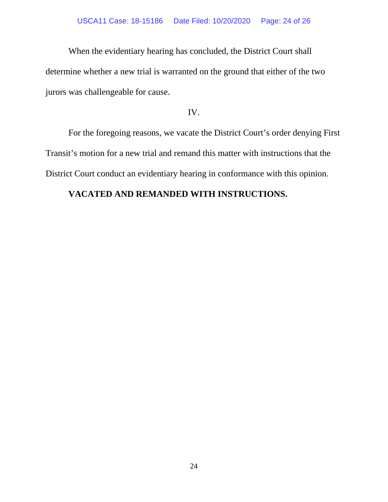When the evidentiary hearing has concluded, the District Court shall determine whether a new trial is warranted on the ground that either of the two jurors was challengeable for cause.

### IV.

For the foregoing reasons, we vacate the District Court's order denying First Transit's motion for a new trial and remand this matter with instructions that the District Court conduct an evidentiary hearing in conformance with this opinion.

## **VACATED AND REMANDED WITH INSTRUCTIONS.**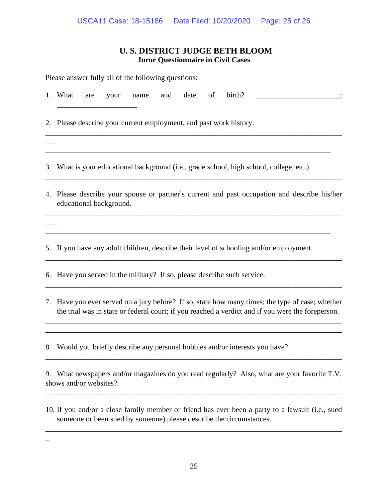## **U. S. DISTRICT JUDGE BETH BLOOM Juror Questionnaire in Civil Cases**

| Please answer fully all of the following questions: |                                                                                                                                                                                                       |
|-----------------------------------------------------|-------------------------------------------------------------------------------------------------------------------------------------------------------------------------------------------------------|
|                                                     | birth?<br>1. What<br>date<br>of<br>and<br>are<br>your<br>name                                                                                                                                         |
|                                                     | 2. Please describe your current employment, and past work history.                                                                                                                                    |
|                                                     |                                                                                                                                                                                                       |
|                                                     | 3. What is your educational background (i.e., grade school, high school, college, etc.).                                                                                                              |
|                                                     | 4. Please describe your spouse or partner's current and past occupation and describe his/her<br>educational background.                                                                               |
|                                                     |                                                                                                                                                                                                       |
|                                                     | 5. If you have any adult children, describe their level of schooling and/or employment.                                                                                                               |
|                                                     | 6. Have you served in the military? If so, please describe such service.                                                                                                                              |
|                                                     | 7. Have you ever served on a jury before? If so, state how many times; the type of case; whether<br>the trial was in state or federal court; if you reached a verdict and if you were the foreperson. |
|                                                     |                                                                                                                                                                                                       |

8. Would you briefly describe any personal hobbies and/or interests you have?

9. What newspapers and/or magazines do you read regularly? Also, what are your favorite T.V. shows and/or websites?

\_\_\_\_\_\_\_\_\_\_\_\_\_\_\_\_\_\_\_\_\_\_\_\_\_\_\_\_\_\_\_\_\_\_\_\_\_\_\_\_\_\_\_\_\_\_\_\_\_\_\_\_\_\_\_\_\_\_\_\_\_\_\_\_\_\_\_\_\_\_\_\_\_\_\_\_\_\_

\_\_\_\_\_\_\_\_\_\_\_\_\_\_\_\_\_\_\_\_\_\_\_\_\_\_\_\_\_\_\_\_\_\_\_\_\_\_\_\_\_\_\_\_\_\_\_\_\_\_\_\_\_\_\_\_\_\_\_\_\_\_\_\_\_\_\_\_\_\_\_\_\_\_\_\_\_\_

10. If you and/or a close family member or friend has ever been a party to a lawsuit (i.e., sued someone or been sued by someone) please describe the circumstances.

\_\_\_\_\_\_\_\_\_\_\_\_\_\_\_\_\_\_\_\_\_\_\_\_\_\_\_\_\_\_\_\_\_\_\_\_\_\_\_\_\_\_\_\_\_\_\_\_\_\_\_\_\_\_\_\_\_\_\_\_\_\_\_\_\_\_\_\_\_\_\_\_\_\_\_\_\_\_

\_